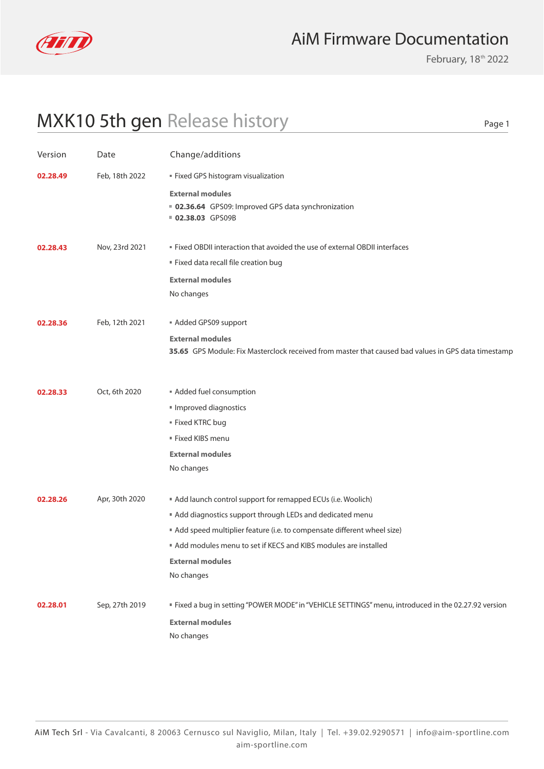

## AiM Firmware Documentation

February, 18<sup>th</sup> 2022

Page 1

## MXK10 5th gen Release history

| Version  | Date           | Change/additions                                                                                     |
|----------|----------------|------------------------------------------------------------------------------------------------------|
| 02.28.49 | Feb, 18th 2022 | Fixed GPS histogram visualization                                                                    |
|          |                | <b>External modules</b>                                                                              |
|          |                | ■ 02.36.64 GPS09: Improved GPS data synchronization<br>02.38.03 GPS09B                               |
|          |                |                                                                                                      |
| 02.28.43 | Nov, 23rd 2021 | " Fixed OBDII interaction that avoided the use of external OBDII interfaces                          |
|          |                | Fixed data recall file creation bug                                                                  |
|          |                | <b>External modules</b>                                                                              |
|          |                | No changes                                                                                           |
| 02.28.36 | Feb, 12th 2021 | Added GPS09 support                                                                                  |
|          |                | <b>External modules</b>                                                                              |
|          |                | 35.65 GPS Module: Fix Masterclock received from master that caused bad values in GPS data timestamp  |
| 02.28.33 | Oct, 6th 2020  | Added fuel consumption                                                                               |
|          |                |                                                                                                      |
|          |                | Improved diagnostics                                                                                 |
|          |                | ■ Fixed KTRC bug<br>■ Fixed KIBS menu                                                                |
|          |                |                                                                                                      |
|          |                | <b>External modules</b>                                                                              |
|          |                | No changes                                                                                           |
| 02.28.26 | Apr, 30th 2020 | Add launch control support for remapped ECUs (i.e. Woolich)                                          |
|          |                | Add diagnostics support through LEDs and dedicated menu                                              |
|          |                | Add speed multiplier feature (i.e. to compensate different wheel size)                               |
|          |                | Add modules menu to set if KECS and KIBS modules are installed                                       |
|          |                | <b>External modules</b>                                                                              |
|          |                | No changes                                                                                           |
| 02.28.01 | Sep, 27th 2019 | " Fixed a bug in setting "POWER MODE" in "VEHICLE SETTINGS" menu, introduced in the 02.27.92 version |
|          |                | <b>External modules</b>                                                                              |
|          |                | No changes                                                                                           |